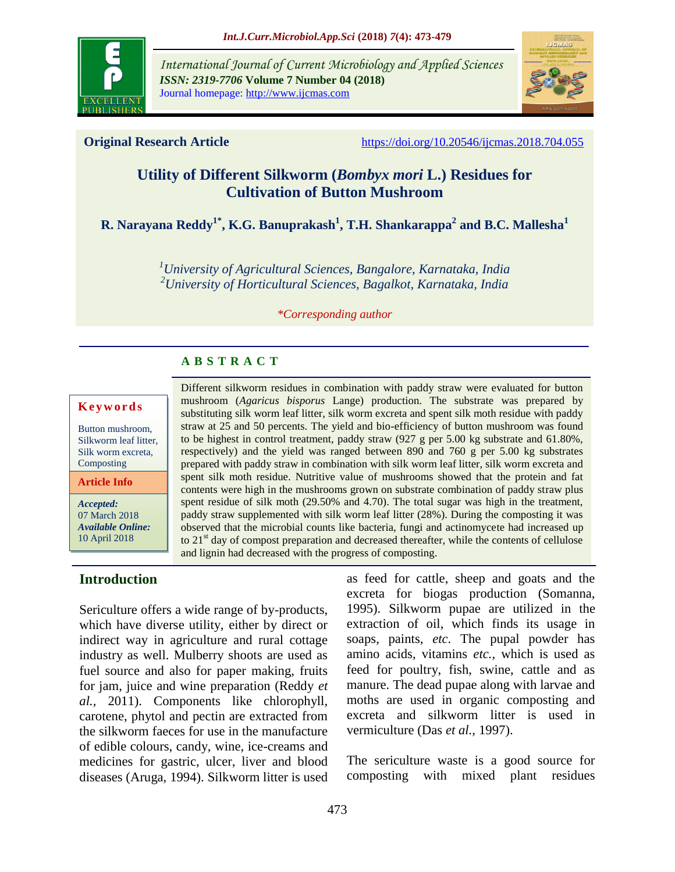

*International Journal of Current Microbiology and Applied Sciences ISSN: 2319-7706* **Volume 7 Number 04 (2018)**  Journal homepage: http://www.ijcmas.com



**Original Research Article** <https://doi.org/10.20546/ijcmas.2018.704.055>

# **Utility of Different Silkworm (***Bombyx mori* **L.) Residues for Cultivation of Button Mushroom**

**R. Narayana Reddy1\*, K.G. Banuprakash<sup>1</sup> , T.H. Shankarappa<sup>2</sup> and B.C. Mallesha<sup>1</sup>**

*<sup>1</sup>University of Agricultural Sciences, Bangalore, Karnataka, India <sup>2</sup>University of Horticultural Sciences, Bagalkot, Karnataka, India*

*\*Corresponding author*

# **A B S T R A C T**

#### **K e y w o r d s**

Button mushroom, Silkworm leaf litter, Silk worm excreta, Composting

**Article Info**

*Accepted:*  07 March 2018 *Available Online:* 10 April 2018

## **Introduction**

Sericulture offers a wide range of by-products, which have diverse utility, either by direct or indirect way in agriculture and rural cottage industry as well. Mulberry shoots are used as fuel source and also for paper making, fruits for jam, juice and wine preparation (Reddy *et al.,* 2011). Components like chlorophyll, carotene, phytol and pectin are extracted from the silkworm faeces for use in the manufacture of edible colours, candy, wine, ice-creams and medicines for gastric, ulcer, liver and blood diseases (Aruga, 1994). Silkworm litter is used

Different silkworm residues in combination with paddy straw were evaluated for button mushroom (*Agaricus bisporus* Lange) production. The substrate was prepared by substituting silk worm leaf litter, silk worm excreta and spent silk moth residue with paddy straw at 25 and 50 percents. The yield and bio-efficiency of button mushroom was found to be highest in control treatment, paddy straw (927 g per 5.00 kg substrate and 61.80%, respectively) and the yield was ranged between 890 and 760 g per 5.00 kg substrates prepared with paddy straw in combination with silk worm leaf litter, silk worm excreta and spent silk moth residue. Nutritive value of mushrooms showed that the protein and fat contents were high in the mushrooms grown on substrate combination of paddy straw plus spent residue of silk moth (29.50% and 4.70). The total sugar was high in the treatment, paddy straw supplemented with silk worm leaf litter (28%). During the composting it was observed that the microbial counts like bacteria, fungi and actinomycete had increased up to  $21<sup>st</sup>$  day of compost preparation and decreased thereafter, while the contents of cellulose and lignin had decreased with the progress of composting.

> as feed for cattle, sheep and goats and the excreta for biogas production (Somanna, 1995). Silkworm pupae are utilized in the extraction of oil, which finds its usage in soaps, paints, *etc*. The pupal powder has amino acids, vitamins *etc.,* which is used as feed for poultry, fish, swine, cattle and as manure. The dead pupae along with larvae and moths are used in organic composting and excreta and silkworm litter is used in vermiculture (Das *et al.,* 1997).

> The sericulture waste is a good source for composting with mixed plant residues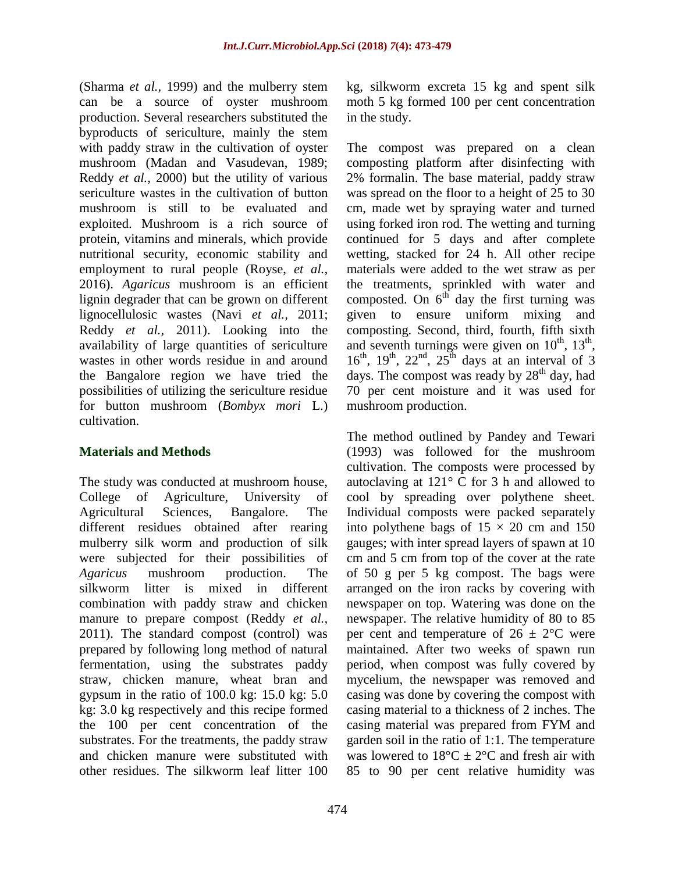(Sharma *et al.,* 1999) and the mulberry stem can be a source of oyster mushroom production. Several researchers substituted the byproducts of sericulture, mainly the stem with paddy straw in the cultivation of oyster mushroom (Madan and Vasudevan, 1989; Reddy *et al.,* 2000) but the utility of various sericulture wastes in the cultivation of button mushroom is still to be evaluated and exploited. Mushroom is a rich source of protein, vitamins and minerals, which provide nutritional security, economic stability and employment to rural people (Royse, *et al.,* 2016). *Agaricus* mushroom is an efficient lignin degrader that can be grown on different lignocellulosic wastes (Navi *et al.,* 2011; Reddy *et al.,* 2011). Looking into the availability of large quantities of sericulture wastes in other words residue in and around the Bangalore region we have tried the possibilities of utilizing the sericulture residue for button mushroom (*Bombyx mori* L.) cultivation.

## **Materials and Methods**

The study was conducted at mushroom house, College of Agriculture, University of Agricultural Sciences, Bangalore. The different residues obtained after rearing mulberry silk worm and production of silk were subjected for their possibilities of *Agaricus* mushroom production. The silkworm litter is mixed in different combination with paddy straw and chicken manure to prepare compost (Reddy *et al.,* 2011). The standard compost (control) was prepared by following long method of natural fermentation, using the substrates paddy straw, chicken manure, wheat bran and gypsum in the ratio of 100.0 kg: 15.0 kg: 5.0 kg: 3.0 kg respectively and this recipe formed the 100 per cent concentration of the substrates. For the treatments, the paddy straw and chicken manure were substituted with other residues. The silkworm leaf litter 100

kg, silkworm excreta 15 kg and spent silk moth 5 kg formed 100 per cent concentration in the study.

The compost was prepared on a clean composting platform after disinfecting with 2% formalin. The base material, paddy straw was spread on the floor to a height of 25 to 30 cm, made wet by spraying water and turned using forked iron rod. The wetting and turning continued for 5 days and after complete wetting, stacked for 24 h. All other recipe materials were added to the wet straw as per the treatments, sprinkled with water and composted. On  $6<sup>th</sup>$  day the first turning was given to ensure uniform mixing and composting. Second, third, fourth, fifth sixth and seventh turnings were given on  $10^{th}$ ,  $13^{th}$ ,  $16^{th}$ ,  $19^{th}$ ,  $22^{nd}$ ,  $25^{th}$  days at an interval of 3 days. The compost was ready by  $28<sup>th</sup>$  day, had 70 per cent moisture and it was used for mushroom production.

The method outlined by Pandey and Tewari (1993) was followed for the mushroom cultivation. The composts were processed by autoclaving at 121*°* C for 3 h and allowed to cool by spreading over polythene sheet. Individual composts were packed separately into polythene bags of  $15 \times 20$  cm and 150 gauges; with inter spread layers of spawn at 10 cm and 5 cm from top of the cover at the rate of 50 g per 5 kg compost. The bags were arranged on the iron racks by covering with newspaper on top. Watering was done on the newspaper. The relative humidity of 80 to 85 per cent and temperature of  $26 \pm 2^{\circ}$ C were maintained. After two weeks of spawn run period, when compost was fully covered by mycelium, the newspaper was removed and casing was done by covering the compost with casing material to a thickness of 2 inches. The casing material was prepared from FYM and garden soil in the ratio of 1:1. The temperature was lowered to  $18^{\circ}$ C  $\pm$  2°C and fresh air with 85 to 90 per cent relative humidity was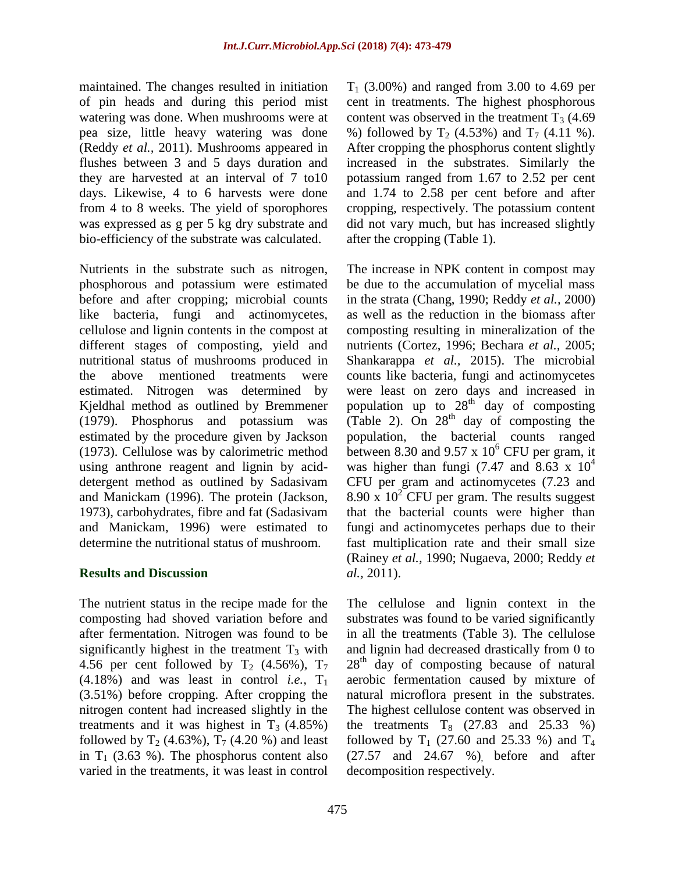maintained. The changes resulted in initiation of pin heads and during this period mist watering was done. When mushrooms were at pea size, little heavy watering was done (Reddy *et al.,* 2011). Mushrooms appeared in flushes between 3 and 5 days duration and they are harvested at an interval of 7 to10 days. Likewise, 4 to 6 harvests were done from 4 to 8 weeks. The yield of sporophores was expressed as g per 5 kg dry substrate and bio-efficiency of the substrate was calculated.

Nutrients in the substrate such as nitrogen, phosphorous and potassium were estimated before and after cropping; microbial counts like bacteria, fungi and actinomycetes, cellulose and lignin contents in the compost at different stages of composting, yield and nutritional status of mushrooms produced in the above mentioned treatments were estimated. Nitrogen was determined by Kjeldhal method as outlined by Bremmener (1979). Phosphorus and potassium was estimated by the procedure given by Jackson (1973). Cellulose was by calorimetric method using anthrone reagent and lignin by aciddetergent method as outlined by Sadasivam and Manickam (1996). The protein (Jackson, 1973), carbohydrates, fibre and fat (Sadasivam and Manickam, 1996) were estimated to determine the nutritional status of mushroom.

## **Results and Discussion**

The nutrient status in the recipe made for the composting had shoved variation before and after fermentation. Nitrogen was found to be significantly highest in the treatment  $T_3$  with 4.56 per cent followed by  $T_2$  (4.56%),  $T_7$  $(4.18\%)$  and was least in control *i.e.*,  $T_1$ (3.51%) before cropping. After cropping the nitrogen content had increased slightly in the treatments and it was highest in  $T_3$  (4.85%) followed by  $T_2$  (4.63%),  $T_7$  (4.20 %) and least in  $T_1$  (3.63 %). The phosphorus content also varied in the treatments, it was least in control

 $T_1$  (3.00%) and ranged from 3.00 to 4.69 per cent in treatments. The highest phosphorous content was observed in the treatment  $T_3$  (4.69) %) followed by  $T_2$  (4.53%) and  $T_7$  (4.11 %). After cropping the phosphorus content slightly increased in the substrates. Similarly the potassium ranged from 1.67 to 2.52 per cent and 1.74 to 2.58 per cent before and after cropping, respectively. The potassium content did not vary much, but has increased slightly after the cropping (Table 1).

The increase in NPK content in compost may be due to the accumulation of mycelial mass in the strata (Chang, 1990; Reddy *et al.,* 2000) as well as the reduction in the biomass after composting resulting in mineralization of the nutrients (Cortez, 1996; Bechara *et al.,* 2005; Shankarappa *et al.,* 2015). The microbial counts like bacteria, fungi and actinomycetes were least on zero days and increased in population up to  $28<sup>th</sup>$  day of composting (Table 2). On  $28<sup>th</sup>$  day of composting the population, the bacterial counts ranged between 8.30 and 9.57 x  $10^6$  CFU per gram, it was higher than fungi (7.47 and 8.63 x  $10^4$ ) CFU per gram and actinomycetes (7.23 and 8.90 x  $10^2$  CFU per gram. The results suggest that the bacterial counts were higher than fungi and actinomycetes perhaps due to their fast multiplication rate and their small size (Rainey *et al.,* 1990; Nugaeva, 2000; Reddy *et al.,* 2011).

The cellulose and lignin context in the substrates was found to be varied significantly in all the treatments (Table 3). The cellulose and lignin had decreased drastically from 0 to  $28<sup>th</sup>$  day of composting because of natural aerobic fermentation caused by mixture of natural microflora present in the substrates. The highest cellulose content was observed in the treatments  $T_8$  (27.83 and 25.33 %) followed by  $T_1$  (27.60 and 25.33 %) and  $T_4$ (27.57 and 24.67 %), before and after decomposition respectively.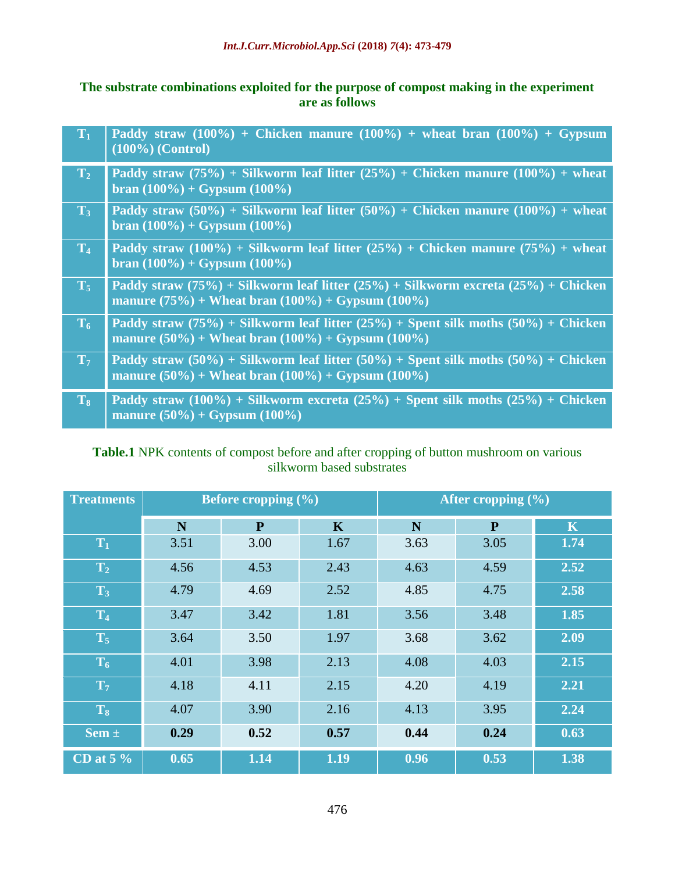# **The substrate combinations exploited for the purpose of compost making in the experiment are as follows**

| $T_1$          | Paddy straw $(100\%)$ + Chicken manure $(100\%)$ + wheat bran $(100\%)$ + Gypsum<br>$(100\%)$ (Control)                                                 |
|----------------|---------------------------------------------------------------------------------------------------------------------------------------------------------|
| $T_2$          | Paddy straw $(75\%)$ + Silkworm leaf litter $(25\%)$ + Chicken manure $(100\%)$ + wheat<br>bran $(100\%) + Gypsum (100\%)$                              |
| $\mathbf{T}_3$ | Paddy straw $(50\%)$ + Silkworm leaf litter $(50\%)$ + Chicken manure $(100\%)$ + wheat<br>$\frac{100\%}{100\%}$ + Gypsum $(100\%)$                     |
| $T_4$          | Paddy straw (100%) + Silkworm leaf litter (25%) + Chicken manure (75%) + wheat<br>$\frac{100\%}{100\%}$ + Gypsum $(100\%)$                              |
| $T_5$          | Paddy straw (75%) + Silkworm leaf litter (25%) + Silkworm excreta (25%) + Chicken<br>manure $(75\%)$ + Wheat bran $(100\%)$ + Gypsum $(100\%)$          |
| $T_6$          | Paddy straw (75%) + Silkworm leaf litter (25%) + Spent silk moths (50%) + Chicken<br>manure $(50\%)$ + Wheat bran $(100\%)$ + Gypsum $(100\%)$          |
| $T_7$          | Paddy straw $(50\%)$ + Silkworm leaf litter $(50\%)$ + Spent silk moths $(50\%)$ + Chicken<br>manure $(50\%)$ + Wheat bran $(100\%)$ + Gypsum $(100\%)$ |
| $T_8$          | Paddy straw (100%) + Silkworm excreta (25%) + Spent silk moths (25%) + Chicken<br>manure $(50\%) + Gypsum (100\%)$                                      |

# **Table.1** NPK contents of compost before and after cropping of button mushroom on various silkworm based substrates

| <b>Treatments</b>             |      | Before cropping $(\% )$ |             | After cropping $(\% )$ |              |                         |  |
|-------------------------------|------|-------------------------|-------------|------------------------|--------------|-------------------------|--|
|                               | N    | P                       | $\mathbf K$ | N                      | $\mathbf{P}$ | $\overline{\mathbf{K}}$ |  |
| $T_1$                         | 3.51 | 3.00                    | 1.67        | 3.63                   | 3.05         | 1.74                    |  |
| T <sub>2</sub>                | 4.56 | 4.53                    | 2.43        | 4.63                   | 4.59         | 2.52                    |  |
| $T_3$                         | 4.79 | 4.69                    | 2.52        | 4.85                   | 4.75         | 2.58                    |  |
| T <sub>4</sub>                | 3.47 | 3.42                    | 1.81        | 3.56                   | 3.48         | 1.85                    |  |
| $T_5$                         | 3.64 | 3.50                    | 1.97        | 3.68                   | 3.62         | 2.09                    |  |
| $T_6$                         | 4.01 | 3.98                    | 2.13        | 4.08                   | 4.03         | 2.15                    |  |
| T <sub>7</sub>                | 4.18 | 4.11                    | 2.15        | 4.20                   | 4.19         | 2.21                    |  |
| $T_8$                         | 4.07 | 3.90                    | 2.16        | 4.13                   | 3.95         | 2.24                    |  |
| Sem $\pm$                     | 0.29 | 0.52                    | 0.57        | 0.44                   | 0.24         | 0.63                    |  |
| $\overline{\text{CD}}$ at 5 % | 0.65 | 1.14                    | 1.19        | 0.96                   | 0.53         | 1.38                    |  |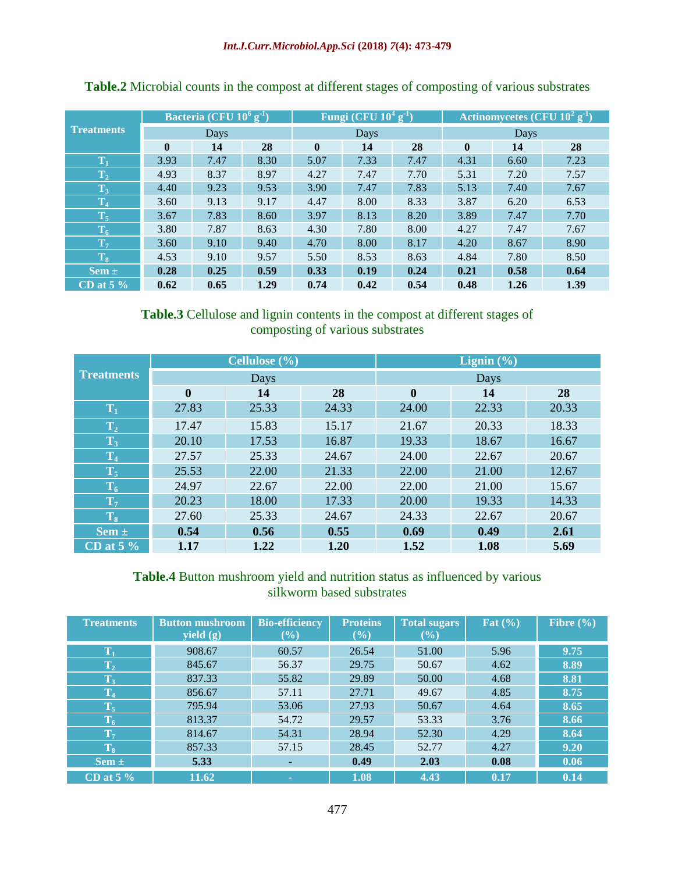|                                            | Bacteria (CFU $10^6$ g <sup>-1</sup> ) |      |      | Fungi (CFU $10^4$ g <sup>-1</sup> ) <sup>1</sup> |      |      | Actinomycetes (CFU $10^2$ g <sup>-1</sup> ) |      |      |
|--------------------------------------------|----------------------------------------|------|------|--------------------------------------------------|------|------|---------------------------------------------|------|------|
| <b>Treatments</b>                          | Days                                   |      |      | <b>Days</b>                                      |      |      | Days                                        |      |      |
|                                            | $\mathbf{0}$                           | 14   | 28   | $\mathbf{0}$                                     | 14   | 28   | $\bf{0}$                                    | 14   | 28   |
| $\mathbf{T}_1$                             | 3.93                                   | 7.47 | 8.30 | 5.07                                             | 7.33 | 7.47 | 4.31                                        | 6.60 | 7.23 |
| $\mathbf{T_2}$                             | 4.93                                   | 8.37 | 8.97 | 4.27                                             | 7.47 | 7.70 | 5.31                                        | 7.20 | 7.57 |
| $\overline{\mathrm{T}}_{3}$                | 4.40                                   | 9.23 | 9.53 | 3.90                                             | 7.47 | 7.83 | 5.13                                        | 7.40 | 7.67 |
| $\mathbf{T}_4$                             | 3.60                                   | 9.13 | 9.17 | 4.47                                             | 8.00 | 8.33 | 3.87                                        | 6.20 | 6.53 |
| $\overline{\mathbf{T}}_5$                  | 3.67                                   | 7.83 | 8.60 | 3.97                                             | 8.13 | 8.20 | 3.89                                        | 7.47 | 7.70 |
| $\overline{\mathrm{T}}_{6}$                | 3.80                                   | 7.87 | 8.63 | 4.30                                             | 7.80 | 8.00 | 4.27                                        | 7.47 | 7.67 |
| $\mathbf{T}_7$                             | 3.60                                   | 9.10 | 9.40 | 4.70                                             | 8.00 | 8.17 | 4.20                                        | 8.67 | 8.90 |
| $\left\langle \mathrm{T}_{8}\right\rangle$ | 4.53                                   | 9.10 | 9.57 | 5.50                                             | 8.53 | 8.63 | 4.84                                        | 7.80 | 8.50 |
| Sem $\pm$                                  | 0.28                                   | 0.25 | 0.59 | 0.33                                             | 0.19 | 0.24 | 0.21                                        | 0.58 | 0.64 |
| CD at $5\%$                                | 0.62                                   | 0.65 | 1.29 | 0.74                                             | 0.42 | 0.54 | 0.48                                        | 1.26 | 1.39 |

**Table.2** Microbial counts in the compost at different stages of composting of various substrates

**Table.3** Cellulose and lignin contents in the compost at different stages of composting of various substrates

|                                        |                  | Cellulose $(\% )$ |       | Lignin $(\% )$   |       |       |  |
|----------------------------------------|------------------|-------------------|-------|------------------|-------|-------|--|
| <b>Treatments</b>                      |                  | Days              |       | Days             |       |       |  |
|                                        | $\boldsymbol{0}$ | 14                | 28    | $\boldsymbol{0}$ | 14    | 28    |  |
| $T_1$                                  | 27.83            | 25.33             | 24.33 | 24.00            | 22.33 | 20.33 |  |
| T <sub>2</sub>                         | 17.47            | 15.83             | 15.17 | 21.67            | 20.33 | 18.33 |  |
| $T_3$                                  | 20.10            | 17.53             | 16.87 | 19.33            | 18.67 | 16.67 |  |
| T <sub>4</sub>                         | 27.57            | 25.33             | 24.67 | 24.00            | 22.67 | 20.67 |  |
| $T_5$                                  | 25.53            | 22.00             | 21.33 | 22.00            | 21.00 | 12.67 |  |
| $T_6$                                  | 24.97            | 22.67             | 22.00 | 22.00            | 21.00 | 15.67 |  |
| T <sub>7</sub>                         | 20.23            | 18.00             | 17.33 | 20.00            | 19.33 | 14.33 |  |
| $\vert \overline{\mathrm{T}}_{8}\vert$ | 27.60            | 25.33             | 24.67 | 24.33            | 22.67 | 20.67 |  |
| Sem $\pm$                              | 0.54             | 0.56              | 0.55  | 0.69             | 0.49  | 2.61  |  |
| $CD$ at 5 $\%$                         | 1.17             | 1.22              | 1.20  | 1.52             | 1.08  | 5.69  |  |

# **Table.4** Button mushroom yield and nutrition status as influenced by various silkworm based substrates

| <b>Treatments</b>             | <b>Button mushroom</b><br>yield $(g)$ | <b>Bio-efficiency</b><br>$(\%)$ | <b>Proteins</b><br>$(\%)$ | <b>Total sugars</b><br>$(\%)$ | Fat $(\% )$ | Fibre $(\% )$ |
|-------------------------------|---------------------------------------|---------------------------------|---------------------------|-------------------------------|-------------|---------------|
| $T_1$                         | 908.67                                | 60.57                           | 26.54                     | 51.00                         | 5.96        | 9.75          |
| $ \overline{\mathrm{T}}_{2} $ | 845.67                                | 56.37                           | 29.75                     | 50.67                         | 4.62        | 8.89          |
| $\overline{\mathrm{T}}_{3}$   | 837.33                                | 55.82                           | 29.89                     | 50.00                         | 4.68        | 8.81          |
| $\mathbf{T}_4$                | 856.67                                | 57.11                           | 27.71                     | 49.67                         | 4.85        | 8.75          |
| $\overline{\mathbf{T}}_5$     | 795.94                                | 53.06                           | 27.93                     | 50.67                         | 4.64        | 8.65          |
| $ \overline{\mathrm{T}}_{6} $ | 813.37                                | 54.72                           | 29.57                     | 53.33                         | 3.76        | 8.66          |
| $\mathbf{T}_7$                | 814.67                                | 54.31                           | 28.94                     | 52.30                         | 4.29        | 8.64          |
| $\overline{\mathbf{T}}_3$     | 857.33                                | 57.15                           | 28.45                     | 52.77                         | 4.27        | 9.20          |
| Sem $\pm$                     | 5.33                                  |                                 | 0.49                      | 2.03                          | 0.08        | 0.06          |
| $\overline{\text{CD}}$ at 5 % | 11.62                                 | <b>CO</b>                       | 1.08                      | 4.43                          | 0.17        | 0.14          |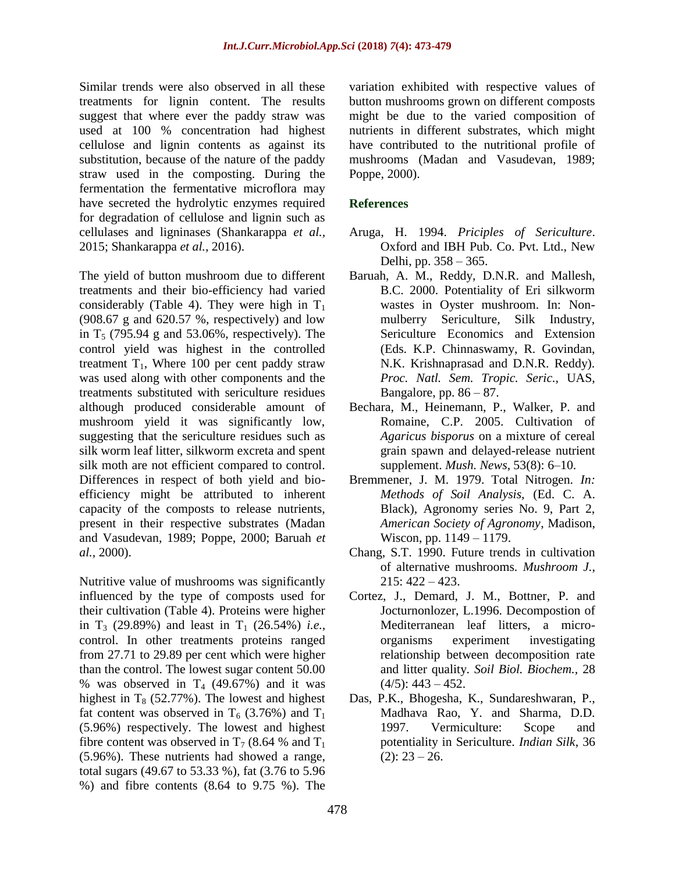Similar trends were also observed in all these treatments for lignin content. The results suggest that where ever the paddy straw was used at 100 % concentration had highest cellulose and lignin contents as against its substitution, because of the nature of the paddy straw used in the composting. During the fermentation the fermentative microflora may have secreted the hydrolytic enzymes required for degradation of cellulose and lignin such as cellulases and ligninases (Shankarappa *et al.,* 2015; Shankarappa *et al.,* 2016).

The yield of button mushroom due to different treatments and their bio-efficiency had varied considerably (Table 4). They were high in  $T_1$ (908.67 g and 620.57 %, respectively) and low in  $T<sub>5</sub>$  (795.94 g and 53.06%, respectively). The control yield was highest in the controlled treatment  $T_1$ , Where 100 per cent paddy straw was used along with other components and the treatments substituted with sericulture residues although produced considerable amount of mushroom yield it was significantly low, suggesting that the sericulture residues such as silk worm leaf litter, silkworm excreta and spent silk moth are not efficient compared to control. Differences in respect of both yield and bioefficiency might be attributed to inherent capacity of the composts to release nutrients, present in their respective substrates (Madan and Vasudevan, 1989; Poppe, 2000; Baruah *et al.,* 2000).

Nutritive value of mushrooms was significantly influenced by the type of composts used for their cultivation (Table 4). Proteins were higher in  $T_3$  (29.89%) and least in  $T_1$  (26.54%) *i.e.*, control. In other treatments proteins ranged from 27.71 to 29.89 per cent which were higher than the control. The lowest sugar content 50.00 % was observed in  $T_4$  (49.67%) and it was highest in  $T_8$  (52.77%). The lowest and highest fat content was observed in  $T_6$  (3.76%) and  $T_1$ (5.96%) respectively. The lowest and highest fibre content was observed in  $T_7$  (8.64 % and  $T_1$ ) (5.96%). These nutrients had showed a range, total sugars (49.67 to 53.33 %), fat (3.76 to 5.96 %) and fibre contents (8.64 to 9.75 %). The variation exhibited with respective values of button mushrooms grown on different composts might be due to the varied composition of nutrients in different substrates, which might have contributed to the nutritional profile of mushrooms (Madan and Vasudevan, 1989; Poppe, 2000).

#### **References**

- Aruga, H. 1994. *Priciples of Sericulture*. Oxford and IBH Pub. Co. Pvt. Ltd., New Delhi, pp. 358 – 365.
- Baruah, A. M., Reddy, D.N.R. and Mallesh, B.C. 2000. Potentiality of Eri silkworm wastes in Oyster mushroom. In: Nonmulberry Sericulture, Silk Industry, Sericulture Economics and Extension (Eds. K.P. Chinnaswamy, R. Govindan, N.K. Krishnaprasad and D.N.R. Reddy). *Proc. Natl. Sem. Tropic. Seric.,* UAS, Bangalore, pp.  $86 - 87$ .
- Bechara, M., Heinemann, P., Walker, P. and Romaine, C.P. 2005. Cultivation of *Agaricus bisporus* on a mixture of cereal grain spawn and delayed-release nutrient supplement. *Mush. News*, 53(8): 6–10.
- Bremmener, J. M. 1979. Total Nitrogen*. In: Methods of Soil Analysis,* (Ed. C. A. Black), Agronomy series No. 9, Part 2, *American Society of Agronomy*, Madison, Wiscon, pp. 1149 – 1179.
- Chang, S.T. 1990. Future trends in cultivation of alternative mushrooms. *Mushroom J.*, 215: 422 – 423.
- Cortez, J., Demard, J. M., Bottner, P. and Jocturnonlozer, L.1996. Decompostion of Mediterranean leaf litters, a microorganisms experiment investigating relationship between decomposition rate and litter quality. *Soil Biol. Biochem.,* 28  $(4/5): 443 - 452.$
- Das, P.K., Bhogesha, K., Sundareshwaran, P., Madhava Rao, Y. and Sharma, D.D. 1997. Vermiculture: Scope and potentiality in Sericulture. *Indian Silk*, 36  $(2): 23 - 26.$